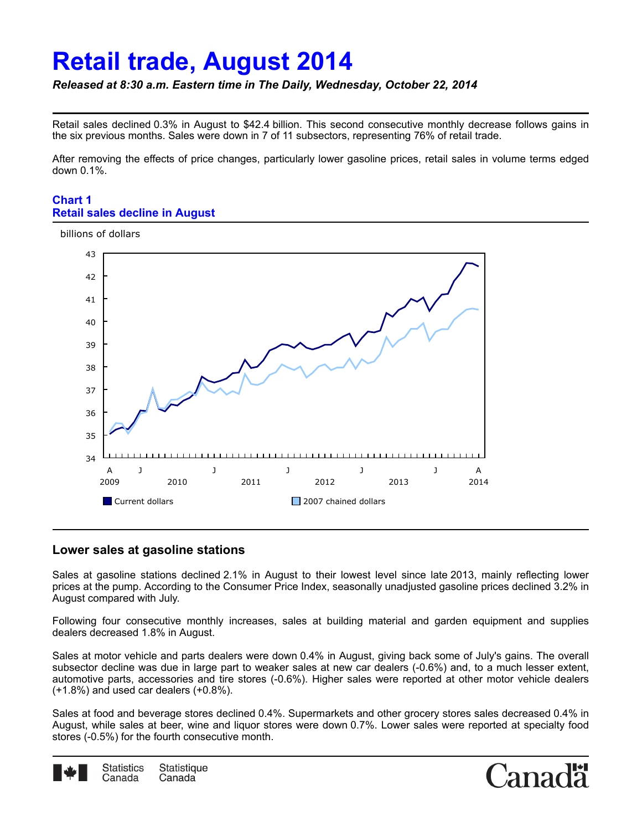# **Retail trade, August 2014**

## *Released at 8:30 a.m. Eastern time in The Daily, Wednesday, October 22, 2014*

Retail sales declined 0.3% in August to \$42.4 billion. This second consecutive monthly decrease follows gains in the six previous months. Sales were down in 7 of 11 subsectors, representing 76% of retail trade.

After removing the effects of price changes, particularly lower gasoline prices, retail sales in volume terms edged down 0.1%.

#### **Chart 1 Retail sales decline in August**



### **Lower sales at gasoline stations**

Sales at gasoline stations declined 2.1% in August to their lowest level since late 2013, mainly reflecting lower prices at the pump. According to the Consumer Price Index, seasonally unadjusted gasoline prices declined 3.2% in August compared with July.

Following four consecutive monthly increases, sales at building material and garden equipment and supplies dealers decreased 1.8% in August.

Sales at motor vehicle and parts dealers were down 0.4% in August, giving back some of July's gains. The overall subsector decline was due in large part to weaker sales at new car dealers (-0.6%) and, to a much lesser extent, automotive parts, accessories and tire stores (-0.6%). Higher sales were reported at other motor vehicle dealers (+1.8%) and used car dealers (+0.8%).

Sales at food and beverage stores declined 0.4%. Supermarkets and other grocery stores sales decreased 0.4% in August, while sales at beer, wine and liquor stores were down 0.7%. Lower sales were reported at specialty food stores (-0.5%) for the fourth consecutive month.



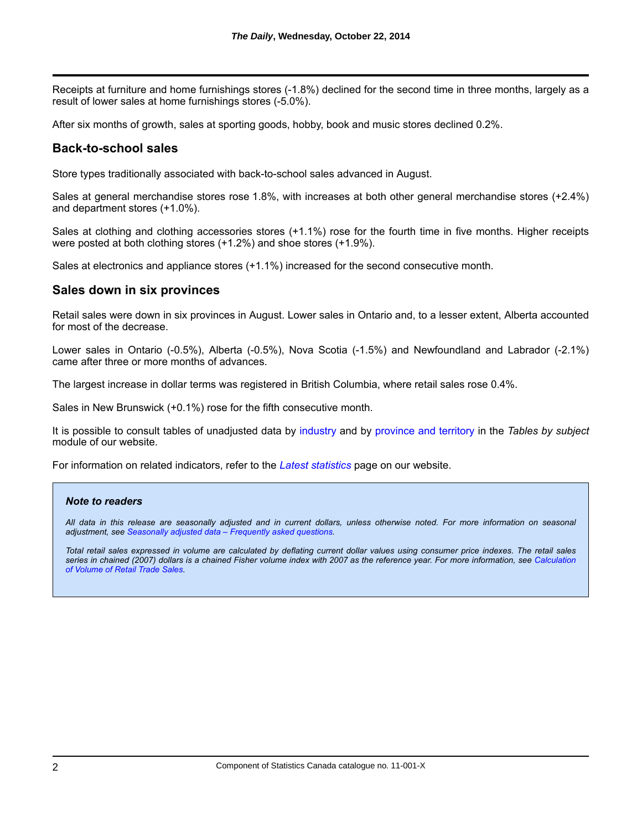Receipts at furniture and home furnishings stores (-1.8%) declined for the second time in three months, largely as a result of lower sales at home furnishings stores (-5.0%).

After six months of growth, sales at sporting goods, hobby, book and music stores declined 0.2%.

## **Back-to-school sales**

Store types traditionally associated with back-to-school sales advanced in August.

Sales at general merchandise stores rose 1.8%, with increases at both other general merchandise stores (+2.4%) and department stores (+1.0%).

Sales at clothing and clothing accessories stores (+1.1%) rose for the fourth time in five months. Higher receipts were posted at both clothing stores (+1.2%) and shoe stores (+1.9%).

Sales at electronics and appliance stores (+1.1%) increased for the second consecutive month.

### **Sales down in six provinces**

Retail sales were down in six provinces in August. Lower sales in Ontario and, to a lesser extent, Alberta accounted for most of the decrease.

Lower sales in Ontario (-0.5%), Alberta (-0.5%), Nova Scotia (-1.5%) and Newfoundland and Labrador (-2.1%) came after three or more months of advances.

The largest increase in dollar terms was registered in British Columbia, where retail sales rose 0.4%.

Sales in New Brunswick (+0.1%) rose for the fifth consecutive month.

It is possible to consult tables of unadjusted data by [industry](http://www.statcan.gc.ca/tables-tableaux/sum-som/l01/cst01/trad42b-eng.htm) and by [province and territory](http://www.statcan.gc.ca/tables-tableaux/sum-som/l01/cst01/trad43b-eng.htm) in the *Tables by subject* module of our website.

For information on related indicators, refer to the *[Latest statistics](http://www.statcan.gc.ca/tables-tableaux/sum-som/l01/cst01/media01-eng.htm)* page on our website.

#### *Note to readers*

*All data in this release are seasonally adjusted and in current dollars, unless otherwise noted. For more information on seasonal adjustment, see [Seasonally adjusted data – Frequently asked questions](http://www.statcan.gc.ca/dai-quo/btd-add/btd-add-eng.htm).*

*Total retail sales expressed in volume are calculated by deflating current dollar values using consumer price indexes. The retail sales [series in chained \(2007\) dollars is a chained Fisher volume index with 2007 as the reference year. For more information, see](http://www23.statcan.gc.ca/imdb-bmdi/document/2406_D13_T9_V1-eng.htm) Calculation of Volume of Retail Trade Sales.*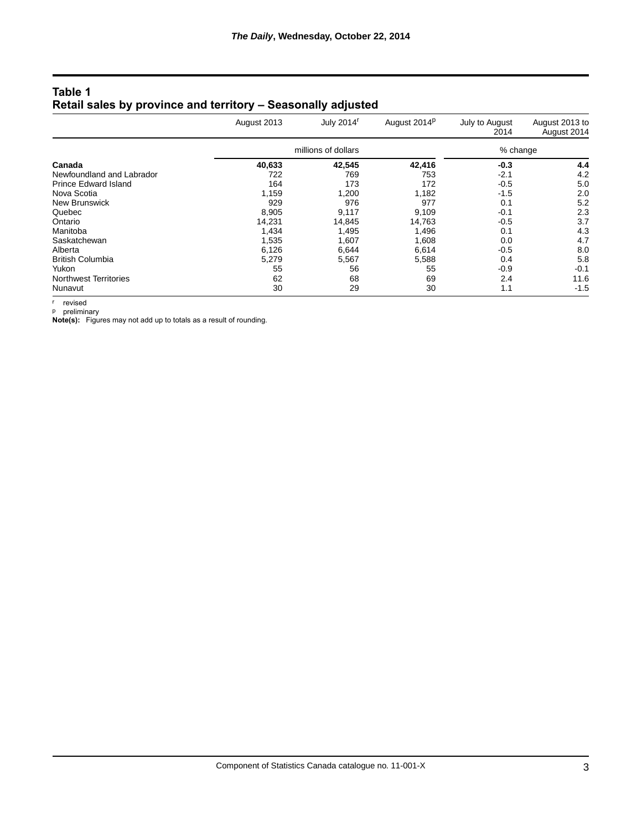| Table 1                                                      |  |
|--------------------------------------------------------------|--|
| Retail sales by province and territory - Seasonally adjusted |  |

|                              | August 2013         | July 2014 <sup>r</sup> | August 2014 <sup>p</sup> | July to August<br>2014 | August 2013 to<br>August 2014 |
|------------------------------|---------------------|------------------------|--------------------------|------------------------|-------------------------------|
|                              | millions of dollars |                        | % change                 |                        |                               |
| Canada                       | 40,633              | 42,545                 | 42,416                   | $-0.3$                 | 4.4                           |
| Newfoundland and Labrador    | 722                 | 769                    | 753                      | $-2.1$                 | 4.2                           |
| <b>Prince Edward Island</b>  | 164                 | 173                    | 172                      | $-0.5$                 | 5.0                           |
| Nova Scotia                  | 1.159               | 1,200                  | 1.182                    | $-1.5$                 | 2.0                           |
| New Brunswick                | 929                 | 976                    | 977                      | 0.1                    | 5.2                           |
| Quebec                       | 8.905               | 9,117                  | 9.109                    | $-0.1$                 | 2.3                           |
| Ontario                      | 14.231              | 14.845                 | 14.763                   | $-0.5$                 | 3.7                           |
| Manitoba                     | 1,434               | 1,495                  | 1,496                    | 0.1                    | 4.3                           |
| Saskatchewan                 | 1,535               | 1,607                  | 1,608                    | 0.0                    | 4.7                           |
| Alberta                      | 6,126               | 6,644                  | 6,614                    | $-0.5$                 | 8.0                           |
| <b>British Columbia</b>      | 5,279               | 5,567                  | 5,588                    | 0.4                    | 5.8                           |
| Yukon                        | 55                  | 56                     | 55                       | $-0.9$                 | $-0.1$                        |
| <b>Northwest Territories</b> | 62                  | 68                     | 69                       | 2.4                    | 11.6                          |
| Nunavut                      | 30                  | 29                     | 30                       | 1.1                    | $-1.5$                        |

r revised

p preliminary

**Note(s):**  Figures may not add up to totals as a result of rounding.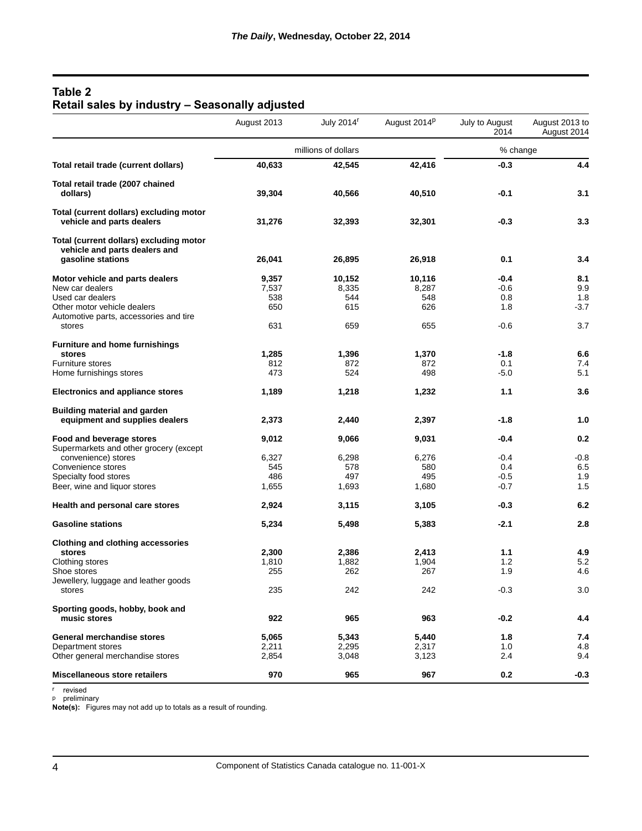# **Table 2 Retail sales by industry – Seasonally adjusted**

| millions of dollars<br>% change<br>42,416<br>40,633<br>$-0.3$<br>Total retail trade (current dollars)<br>42,545<br>Total retail trade (2007 chained<br>39,304<br>40,510<br>$-0.1$<br>3.1<br>dollars)<br>40,566<br>Total (current dollars) excluding motor<br>vehicle and parts dealers<br>$-0.3$<br>31,276<br>32,393<br>32,301<br>Total (current dollars) excluding motor<br>vehicle and parts dealers and<br>gasoline stations<br>26,041<br>0.1<br>26,895<br>26,918<br>Motor vehicle and parts dealers<br>9,357<br>10,152<br>10,116<br>-0.4<br>$-0.6$<br>New car dealers<br>7,537<br>8,335<br>8,287<br>Used car dealers<br>548<br>538<br>544<br>0.8<br>Other motor vehicle dealers<br>626<br>650<br>615<br>1.8<br>Automotive parts, accessories and tire<br>631<br>659<br>655<br>$-0.6$<br>stores | August 2013 | July 2014 <sup>r</sup> | August 2014P | July to August<br>2014 | August 2013 to<br>August 2014 |
|----------------------------------------------------------------------------------------------------------------------------------------------------------------------------------------------------------------------------------------------------------------------------------------------------------------------------------------------------------------------------------------------------------------------------------------------------------------------------------------------------------------------------------------------------------------------------------------------------------------------------------------------------------------------------------------------------------------------------------------------------------------------------------------------------|-------------|------------------------|--------------|------------------------|-------------------------------|
|                                                                                                                                                                                                                                                                                                                                                                                                                                                                                                                                                                                                                                                                                                                                                                                                    |             |                        |              |                        |                               |
|                                                                                                                                                                                                                                                                                                                                                                                                                                                                                                                                                                                                                                                                                                                                                                                                    |             |                        |              |                        | 4.4                           |
|                                                                                                                                                                                                                                                                                                                                                                                                                                                                                                                                                                                                                                                                                                                                                                                                    |             |                        |              |                        |                               |
|                                                                                                                                                                                                                                                                                                                                                                                                                                                                                                                                                                                                                                                                                                                                                                                                    |             |                        |              |                        |                               |
|                                                                                                                                                                                                                                                                                                                                                                                                                                                                                                                                                                                                                                                                                                                                                                                                    |             |                        |              |                        | 3.3                           |
|                                                                                                                                                                                                                                                                                                                                                                                                                                                                                                                                                                                                                                                                                                                                                                                                    |             |                        |              |                        |                               |
|                                                                                                                                                                                                                                                                                                                                                                                                                                                                                                                                                                                                                                                                                                                                                                                                    |             |                        |              |                        | 3.4                           |
|                                                                                                                                                                                                                                                                                                                                                                                                                                                                                                                                                                                                                                                                                                                                                                                                    |             |                        |              |                        | 8.1                           |
|                                                                                                                                                                                                                                                                                                                                                                                                                                                                                                                                                                                                                                                                                                                                                                                                    |             |                        |              |                        | 9.9                           |
|                                                                                                                                                                                                                                                                                                                                                                                                                                                                                                                                                                                                                                                                                                                                                                                                    |             |                        |              |                        | 1.8                           |
|                                                                                                                                                                                                                                                                                                                                                                                                                                                                                                                                                                                                                                                                                                                                                                                                    |             |                        |              |                        | $-3.7$                        |
|                                                                                                                                                                                                                                                                                                                                                                                                                                                                                                                                                                                                                                                                                                                                                                                                    |             |                        |              |                        |                               |
|                                                                                                                                                                                                                                                                                                                                                                                                                                                                                                                                                                                                                                                                                                                                                                                                    |             |                        |              |                        | 3.7                           |
| <b>Furniture and home furnishings</b>                                                                                                                                                                                                                                                                                                                                                                                                                                                                                                                                                                                                                                                                                                                                                              |             |                        |              |                        |                               |
| 1,285<br>1,370<br>$-1.8$<br>stores<br>1,396                                                                                                                                                                                                                                                                                                                                                                                                                                                                                                                                                                                                                                                                                                                                                        |             |                        |              |                        | 6.6                           |
| Furniture stores<br>872<br>872<br>0.1<br>812                                                                                                                                                                                                                                                                                                                                                                                                                                                                                                                                                                                                                                                                                                                                                       |             |                        |              |                        | 7.4                           |
| 473<br>524<br>498<br>$-5.0$<br>Home furnishings stores                                                                                                                                                                                                                                                                                                                                                                                                                                                                                                                                                                                                                                                                                                                                             |             |                        |              |                        | 5.1                           |
| 1.1<br><b>Electronics and appliance stores</b><br>1,189<br>1,218<br>1,232                                                                                                                                                                                                                                                                                                                                                                                                                                                                                                                                                                                                                                                                                                                          |             |                        |              |                        | 3.6                           |
| <b>Building material and garden</b>                                                                                                                                                                                                                                                                                                                                                                                                                                                                                                                                                                                                                                                                                                                                                                |             |                        |              |                        |                               |
| equipment and supplies dealers<br>$-1.8$<br>2,373<br>2,440<br>2,397                                                                                                                                                                                                                                                                                                                                                                                                                                                                                                                                                                                                                                                                                                                                |             |                        |              |                        | 1.0                           |
| 9,012<br>Food and beverage stores<br>9,066<br>9,031<br>-0.4                                                                                                                                                                                                                                                                                                                                                                                                                                                                                                                                                                                                                                                                                                                                        |             |                        |              |                        | 0.2                           |
| Supermarkets and other grocery (except                                                                                                                                                                                                                                                                                                                                                                                                                                                                                                                                                                                                                                                                                                                                                             |             |                        |              |                        |                               |
| convenience) stores<br>6,327<br>6,298<br>6,276<br>$-0.4$                                                                                                                                                                                                                                                                                                                                                                                                                                                                                                                                                                                                                                                                                                                                           |             |                        |              |                        | $-0.8$                        |
| Convenience stores<br>545<br>0.4<br>578<br>580                                                                                                                                                                                                                                                                                                                                                                                                                                                                                                                                                                                                                                                                                                                                                     |             |                        |              |                        | 6.5                           |
| 497<br>495<br>Specialty food stores<br>486<br>$-0.5$                                                                                                                                                                                                                                                                                                                                                                                                                                                                                                                                                                                                                                                                                                                                               |             |                        |              |                        | 1.9                           |
| $-0.7$<br>Beer, wine and liquor stores<br>1,655<br>1,693<br>1,680                                                                                                                                                                                                                                                                                                                                                                                                                                                                                                                                                                                                                                                                                                                                  |             |                        |              |                        | 1.5                           |
|                                                                                                                                                                                                                                                                                                                                                                                                                                                                                                                                                                                                                                                                                                                                                                                                    |             |                        |              |                        |                               |
| Health and personal care stores<br>2,924<br>3,115<br>3,105<br>$-0.3$                                                                                                                                                                                                                                                                                                                                                                                                                                                                                                                                                                                                                                                                                                                               |             |                        |              |                        | 6.2                           |
| <b>Gasoline stations</b><br>$-2.1$<br>5,234<br>5,498<br>5,383                                                                                                                                                                                                                                                                                                                                                                                                                                                                                                                                                                                                                                                                                                                                      |             |                        |              |                        | 2.8                           |
| <b>Clothing and clothing accessories</b>                                                                                                                                                                                                                                                                                                                                                                                                                                                                                                                                                                                                                                                                                                                                                           |             |                        |              |                        |                               |
| 2,300<br>stores<br>2,386<br>2,413<br>1.1                                                                                                                                                                                                                                                                                                                                                                                                                                                                                                                                                                                                                                                                                                                                                           |             |                        |              |                        | 4.9                           |
| Clothing stores<br>1,810<br>1,882<br>1,904<br>1.2                                                                                                                                                                                                                                                                                                                                                                                                                                                                                                                                                                                                                                                                                                                                                  |             |                        |              |                        | 5.2                           |
| 255<br>262<br>1.9<br>Shoe stores<br>267                                                                                                                                                                                                                                                                                                                                                                                                                                                                                                                                                                                                                                                                                                                                                            |             |                        |              |                        | 4.6                           |
| Jewellery, luggage and leather goods                                                                                                                                                                                                                                                                                                                                                                                                                                                                                                                                                                                                                                                                                                                                                               |             |                        |              |                        |                               |
| $-0.3$<br>235<br>242<br>242<br>stores                                                                                                                                                                                                                                                                                                                                                                                                                                                                                                                                                                                                                                                                                                                                                              |             |                        |              |                        | 3.0                           |
| Sporting goods, hobby, book and                                                                                                                                                                                                                                                                                                                                                                                                                                                                                                                                                                                                                                                                                                                                                                    |             |                        |              |                        |                               |
| 922<br>965<br>963<br>$-0.2$<br>music stores                                                                                                                                                                                                                                                                                                                                                                                                                                                                                                                                                                                                                                                                                                                                                        |             |                        |              |                        | 4.4                           |
| 5,065<br>5,440<br><b>General merchandise stores</b><br>5,343<br>1.8                                                                                                                                                                                                                                                                                                                                                                                                                                                                                                                                                                                                                                                                                                                                |             |                        |              |                        | 7.4                           |
| 2,317<br>1.0<br>Department stores<br>2,211<br>2,295                                                                                                                                                                                                                                                                                                                                                                                                                                                                                                                                                                                                                                                                                                                                                |             |                        |              |                        | 4.8                           |
| Other general merchandise stores<br>2,854<br>3,048<br>3,123<br>2.4                                                                                                                                                                                                                                                                                                                                                                                                                                                                                                                                                                                                                                                                                                                                 |             |                        |              |                        | 9.4                           |
| <b>Miscellaneous store retailers</b><br>970<br>965<br>967<br>0.2                                                                                                                                                                                                                                                                                                                                                                                                                                                                                                                                                                                                                                                                                                                                   |             |                        |              |                        | $-0.3$                        |

r revised p preliminary

**Note(s):**  Figures may not add up to totals as a result of rounding.